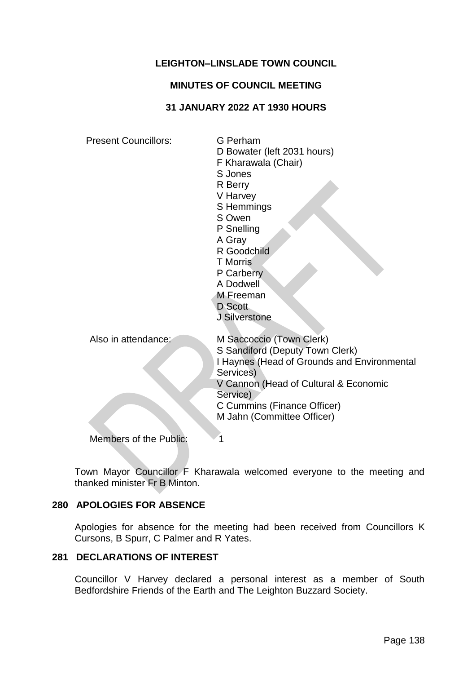# **LEIGHTON–LINSLADE TOWN COUNCIL**

#### **MINUTES OF COUNCIL MEETING**

#### **31 JANUARY 2022 AT 1930 HOURS**

| <b>Present Councillors:</b>   | G Perham<br>D Bowater (left 2031 hours)<br>F Kharawala (Chair)<br>S Jones<br>R Berry<br>V Harvey<br>S Hemmings<br>S Owen<br>P Snelling<br>A Gray<br>R Goodchild<br><b>T</b> Morris<br>P Carberry<br>A Dodwell<br>M Freeman<br>D Scott<br>J Silverstone |
|-------------------------------|--------------------------------------------------------------------------------------------------------------------------------------------------------------------------------------------------------------------------------------------------------|
| Also in attendance:           | M Saccoccio (Town Clerk)<br>S Sandiford (Deputy Town Clerk)<br>I Haynes (Head of Grounds and Environmental<br>Services)<br>V Cannon (Head of Cultural & Economic<br>Service)<br>C Cummins (Finance Officer)<br>M Jahn (Committee Officer)              |
| <b>Members of the Public:</b> |                                                                                                                                                                                                                                                        |

Town Mayor Councillor F Kharawala welcomed everyone to the meeting and thanked minister Fr B Minton.

# **280 APOLOGIES FOR ABSENCE**

Apologies for absence for the meeting had been received from Councillors K Cursons, B Spurr, C Palmer and R Yates.

#### **281 DECLARATIONS OF INTEREST**

Councillor V Harvey declared a personal interest as a member of South Bedfordshire Friends of the Earth and The Leighton Buzzard Society.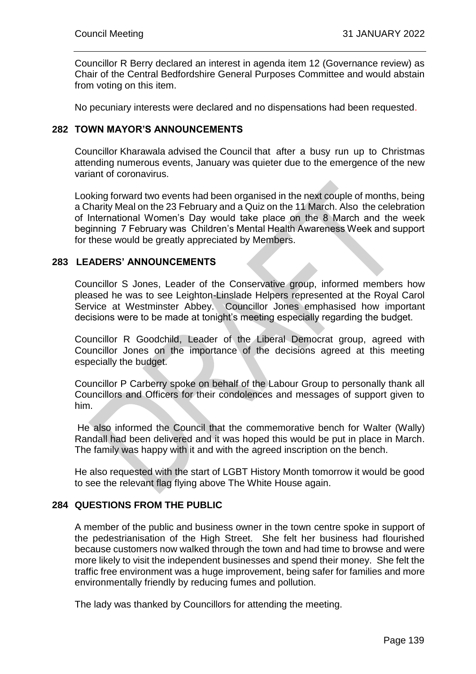Councillor R Berry declared an interest in agenda item 12 (Governance review) as Chair of the Central Bedfordshire General Purposes Committee and would abstain from voting on this item.

No pecuniary interests were declared and no dispensations had been requested.

#### **282 TOWN MAYOR'S ANNOUNCEMENTS**

Councillor Kharawala advised the Council that after a busy run up to Christmas attending numerous events, January was quieter due to the emergence of the new variant of coronavirus.

Looking forward two events had been organised in the next couple of months, being a Charity Meal on the 23 February and a Quiz on the 11 March. Also the celebration of International Women's Day would take place on the 8 March and the week beginning 7 February was Children's Mental Health Awareness Week and support for these would be greatly appreciated by Members.

#### **283 LEADERS' ANNOUNCEMENTS**

Councillor S Jones, Leader of the Conservative group, informed members how pleased he was to see Leighton-Linslade Helpers represented at the Royal Carol Service at Westminster Abbey. Councillor Jones emphasised how important decisions were to be made at tonight's meeting especially regarding the budget.

Councillor R Goodchild, Leader of the Liberal Democrat group, agreed with Councillor Jones on the importance of the decisions agreed at this meeting especially the budget.

Councillor P Carberry spoke on behalf of the Labour Group to personally thank all Councillors and Officers for their condolences and messages of support given to him.

He also informed the Council that the commemorative bench for Walter (Wally) Randall had been delivered and it was hoped this would be put in place in March. The family was happy with it and with the agreed inscription on the bench.

He also requested with the start of LGBT History Month tomorrow it would be good to see the relevant flag flying above The White House again.

# **284 QUESTIONS FROM THE PUBLIC**

A member of the public and business owner in the town centre spoke in support of the pedestrianisation of the High Street. She felt her business had flourished because customers now walked through the town and had time to browse and were more likely to visit the independent businesses and spend their money. She felt the traffic free environment was a huge improvement, being safer for families and more environmentally friendly by reducing fumes and pollution.

The lady was thanked by Councillors for attending the meeting.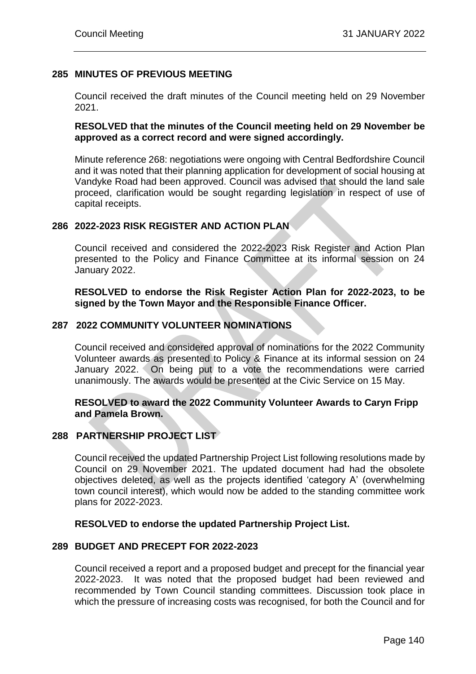# **285 MINUTES OF PREVIOUS MEETING**

Council received the draft minutes of the Council meeting held on 29 November 2021.

# **RESOLVED that the minutes of the Council meeting held on 29 November be approved as a correct record and were signed accordingly.**

Minute reference 268: negotiations were ongoing with Central Bedfordshire Council and it was noted that their planning application for development of social housing at Vandyke Road had been approved. Council was advised that should the land sale proceed, clarification would be sought regarding legislation in respect of use of capital receipts.

# **286 2022-2023 RISK REGISTER AND ACTION PLAN**

Council received and considered the 2022-2023 Risk Register and Action Plan presented to the Policy and Finance Committee at its informal session on 24 January 2022.

# **RESOLVED to endorse the Risk Register Action Plan for 2022-2023, to be signed by the Town Mayor and the Responsible Finance Officer.**

# **287 2022 COMMUNITY VOLUNTEER NOMINATIONS**

Council received and considered approval of nominations for the 2022 Community Volunteer awards as presented to Policy & Finance at its informal session on 24 January 2022. On being put to a vote the recommendations were carried unanimously. The awards would be presented at the Civic Service on 15 May.

# **RESOLVED to award the 2022 Community Volunteer Awards to Caryn Fripp and Pamela Brown.**

# **288 PARTNERSHIP PROJECT LIST**

Council received the updated Partnership Project List following resolutions made by Council on 29 November 2021. The updated document had had the obsolete objectives deleted, as well as the projects identified 'category A' (overwhelming town council interest), which would now be added to the standing committee work plans for 2022-2023.

#### **RESOLVED to endorse the updated Partnership Project List.**

#### **289 BUDGET AND PRECEPT FOR 2022-2023**

Council received a report and a proposed budget and precept for the financial year 2022-2023. It was noted that the proposed budget had been reviewed and recommended by Town Council standing committees. Discussion took place in which the pressure of increasing costs was recognised, for both the Council and for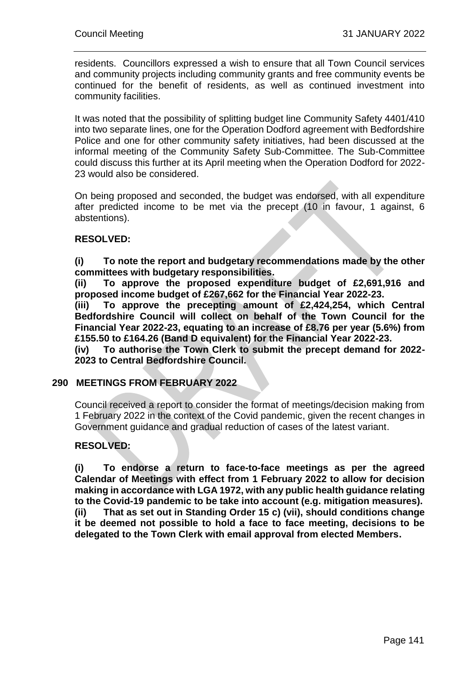residents. Councillors expressed a wish to ensure that all Town Council services and community projects including community grants and free community events be continued for the benefit of residents, as well as continued investment into community facilities.

It was noted that the possibility of splitting budget line Community Safety 4401/410 into two separate lines, one for the Operation Dodford agreement with Bedfordshire Police and one for other community safety initiatives, had been discussed at the informal meeting of the Community Safety Sub-Committee. The Sub-Committee could discuss this further at its April meeting when the Operation Dodford for 2022- 23 would also be considered.

On being proposed and seconded, the budget was endorsed, with all expenditure after predicted income to be met via the precept (10 in favour, 1 against, 6 abstentions).

# **RESOLVED:**

**(i) To note the report and budgetary recommendations made by the other committees with budgetary responsibilities.**

**(ii) To approve the proposed expenditure budget of £2,691,916 and proposed income budget of £267,662 for the Financial Year 2022-23.**

**(iii) To approve the precepting amount of £2,424,254, which Central Bedfordshire Council will collect on behalf of the Town Council for the Financial Year 2022-23, equating to an increase of £8.76 per year (5.6%) from £155.50 to £164.26 (Band D equivalent) for the Financial Year 2022-23.** 

**(iv) To authorise the Town Clerk to submit the precept demand for 2022- 2023 to Central Bedfordshire Council.** 

#### **290 MEETINGS FROM FEBRUARY 2022**

Council received a report to consider the format of meetings/decision making from 1 February 2022 in the context of the Covid pandemic, given the recent changes in Government guidance and gradual reduction of cases of the latest variant.

# **RESOLVED:**

**(i) To endorse a return to face-to-face meetings as per the agreed Calendar of Meetings with effect from 1 February 2022 to allow for decision making in accordance with LGA 1972, with any public health guidance relating to the Covid-19 pandemic to be take into account (e.g. mitigation measures). (ii) That as set out in Standing Order 15 c) (vii), should conditions change it be deemed not possible to hold a face to face meeting, decisions to be delegated to the Town Clerk with email approval from elected Members.**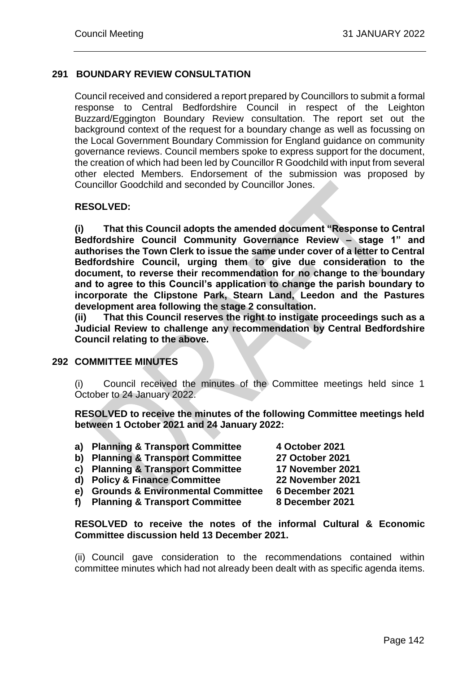# **291 BOUNDARY REVIEW CONSULTATION**

Council received and considered a report prepared by Councillors to submit a formal response to Central Bedfordshire Council in respect of the Leighton Buzzard/Eggington Boundary Review consultation. The report set out the background context of the request for a boundary change as well as focussing on the Local Government Boundary Commission for England guidance on community governance reviews. Council members spoke to express support for the document, the creation of which had been led by Councillor R Goodchild with input from several other elected Members. Endorsement of the submission was proposed by Councillor Goodchild and seconded by Councillor Jones.

# **RESOLVED:**

**(i) That this Council adopts the amended document "Response to Central Bedfordshire Council Community Governance Review – stage 1" and authorises the Town Clerk to issue the same under cover of a letter to Central Bedfordshire Council, urging them to give due consideration to the document, to reverse their recommendation for no change to the boundary and to agree to this Council's application to change the parish boundary to incorporate the Clipstone Park, Stearn Land, Leedon and the Pastures development area following the stage 2 consultation.**

**(ii) That this Council reserves the right to instigate proceedings such as a Judicial Review to challenge any recommendation by Central Bedfordshire Council relating to the above.** 

# **292 COMMITTEE MINUTES**

(i) Council received the minutes of the Committee meetings held since 1 October to 24 January 2022.

**RESOLVED to receive the minutes of the following Committee meetings held between 1 October 2021 and 24 January 2022:**

- **a) Planning & Transport Committee 4 October 2021 b) Planning & Transport Committee 27 October 2021 c) Planning & Transport Committee 17 November 2021 d) Policy & Finance Committee 22 November 2021 e) Grounds & Environmental Committee 6 December 2021**
- **f) Planning & Transport Committee 8 December 2021**

**RESOLVED to receive the notes of the informal Cultural & Economic Committee discussion held 13 December 2021.** 

(ii) Council gave consideration to the recommendations contained within committee minutes which had not already been dealt with as specific agenda items.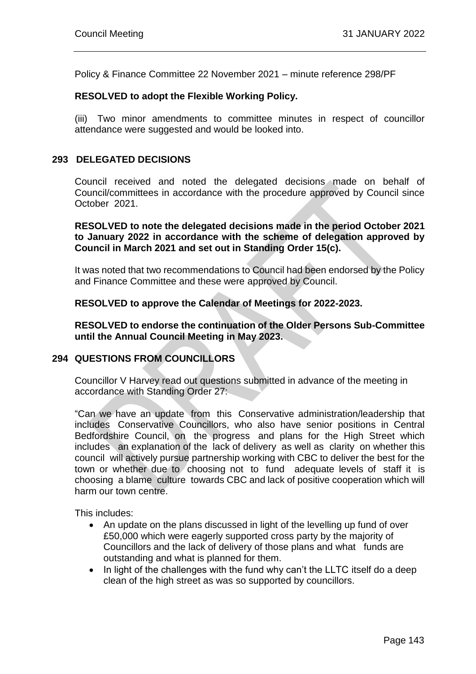Policy & Finance Committee 22 November 2021 – minute reference 298/PF

# **RESOLVED to adopt the Flexible Working Policy.**

(iii) Two minor amendments to committee minutes in respect of councillor attendance were suggested and would be looked into.

#### **293 DELEGATED DECISIONS**

Council received and noted the delegated decisions made on behalf of Council/committees in accordance with the procedure approved by Council since October 2021.

**RESOLVED to note the delegated decisions made in the period October 2021 to January 2022 in accordance with the scheme of delegation approved by Council in March 2021 and set out in Standing Order 15(c).**

It was noted that two recommendations to Council had been endorsed by the Policy and Finance Committee and these were approved by Council.

#### **RESOLVED to approve the Calendar of Meetings for 2022-2023.**

**RESOLVED to endorse the continuation of the Older Persons Sub-Committee until the Annual Council Meeting in May 2023.** 

# **294 QUESTIONS FROM COUNCILLORS**

Councillor V Harvey read out questions submitted in advance of the meeting in accordance with Standing Order 27:

"Can we have an update from this Conservative administration/leadership that includes Conservative Councillors, who also have senior positions in Central Bedfordshire Council, on the progress and plans for the High Street which includes an explanation of the lack of delivery as well as clarity on whether this council will actively pursue partnership working with CBC to deliver the best for the town or whether due to choosing not to fund adequate levels of staff it is choosing a blame culture towards CBC and lack of positive cooperation which will harm our town centre.

This includes:

- An update on the plans discussed in light of the levelling up fund of over £50,000 which were eagerly supported cross party by the majority of Councillors and the lack of delivery of those plans and what funds are outstanding and what is planned for them.
- In light of the challenges with the fund why can't the LLTC itself do a deep clean of the high street as was so supported by councillors.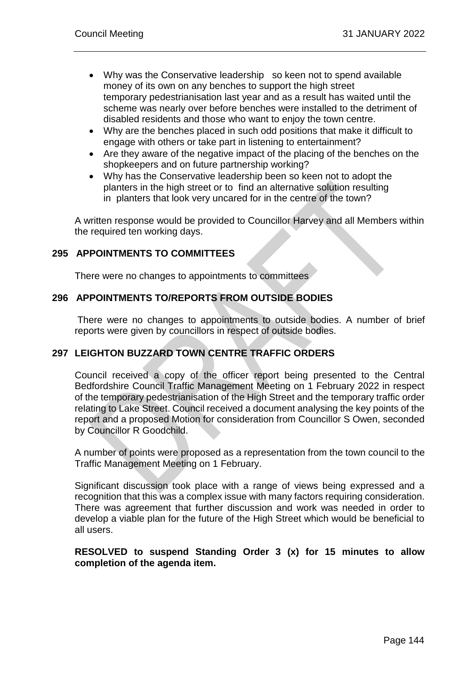- Why was the Conservative leadership so keen not to spend available money of its own on any benches to support the high street temporary pedestrianisation last year and as a result has waited until the scheme was nearly over before benches were installed to the detriment of disabled residents and those who want to enjoy the town centre.
- Why are the benches placed in such odd positions that make it difficult to engage with others or take part in listening to entertainment?
- Are they aware of the negative impact of the placing of the benches on the shopkeepers and on future partnership working?
- Why has the Conservative leadership been so keen not to adopt the planters in the high street or to find an alternative solution resulting in planters that look very uncared for in the centre of the town?

A written response would be provided to Councillor Harvey and all Members within the required ten working days.

# **295 APPOINTMENTS TO COMMITTEES**

There were no changes to appointments to committees

#### **296 APPOINTMENTS TO/REPORTS FROM OUTSIDE BODIES**

There were no changes to appointments to outside bodies. A number of brief reports were given by councillors in respect of outside bodies.

# **297 LEIGHTON BUZZARD TOWN CENTRE TRAFFIC ORDERS**

Council received a copy of the officer report being presented to the Central Bedfordshire Council Traffic Management Meeting on 1 February 2022 in respect of the temporary pedestrianisation of the High Street and the temporary traffic order relating to Lake Street. Council received a document analysing the key points of the report and a proposed Motion for consideration from Councillor S Owen, seconded by Councillor R Goodchild.

A number of points were proposed as a representation from the town council to the Traffic Management Meeting on 1 February.

Significant discussion took place with a range of views being expressed and a recognition that this was a complex issue with many factors requiring consideration. There was agreement that further discussion and work was needed in order to develop a viable plan for the future of the High Street which would be beneficial to all users.

#### **RESOLVED to suspend Standing Order 3 (x) for 15 minutes to allow completion of the agenda item.**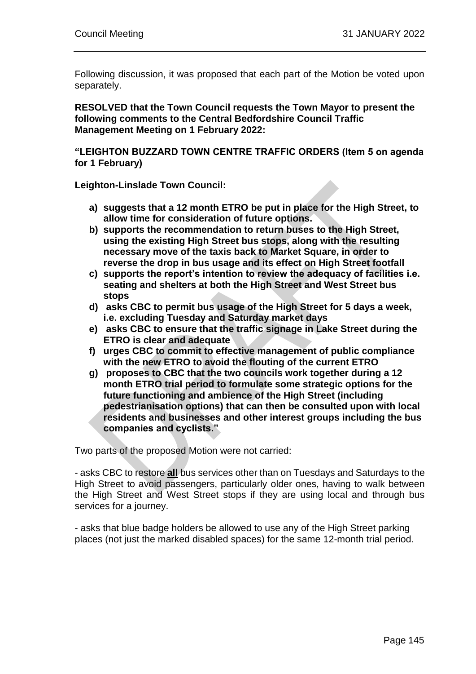Following discussion, it was proposed that each part of the Motion be voted upon separately.

**RESOLVED that the Town Council requests the Town Mayor to present the following comments to the Central Bedfordshire Council Traffic Management Meeting on 1 February 2022:**

**"LEIGHTON BUZZARD TOWN CENTRE TRAFFIC ORDERS (Item 5 on agenda for 1 February)**

**Leighton-Linslade Town Council:**

- **a) suggests that a 12 month ETRO be put in place for the High Street, to allow time for consideration of future options.**
- **b) supports the recommendation to return buses to the High Street, using the existing High Street bus stops, along with the resulting necessary move of the taxis back to Market Square, in order to reverse the drop in bus usage and its effect on High Street footfall**
- **c) supports the report's intention to review the adequacy of facilities i.e. seating and shelters at both the High Street and West Street bus stops**
- **d) asks CBC to permit bus usage of the High Street for 5 days a week, i.e. excluding Tuesday and Saturday market days**
- **e) asks CBC to ensure that the traffic signage in Lake Street during the ETRO is clear and adequate**
- **f) urges CBC to commit to effective management of public compliance with the new ETRO to avoid the flouting of the current ETRO**
- **g) proposes to CBC that the two councils work together during a 12 month ETRO trial period to formulate some strategic options for the future functioning and ambience of the High Street (including pedestrianisation options) that can then be consulted upon with local residents and businesses and other interest groups including the bus companies and cyclists."**

Two parts of the proposed Motion were not carried:

- asks CBC to restore **all** bus services other than on Tuesdays and Saturdays to the High Street to avoid passengers, particularly older ones, having to walk between the High Street and West Street stops if they are using local and through bus services for a journey.

- asks that blue badge holders be allowed to use any of the High Street parking places (not just the marked disabled spaces) for the same 12-month trial period.